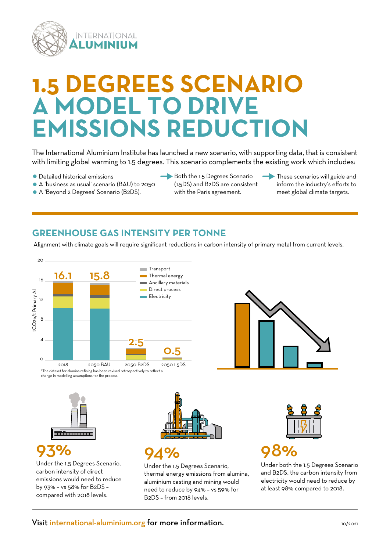

## **EGREES SCENARIO A DDEL TO DRIVE EMISSIONS REDUCTION**

The International Aluminium Institute has launched a new scenario, with supporting data, that is consistent with limiting global warming to 1.5 degrees. This scenario complements the existing work which includes:

- Detailed historical emissions
- A 'business as usual' scenario (BAU) to 2050
- A 'Beyond 2 Degrees' Scenario (B2DS).
- Both the 1.5 Degrees Scenario
	- (1.5DS) and B2DS are consistent with the Paris agreement.
- These scenarios will guide and inform the industry's efforts to meet global climate targets.

#### **GREENHOUSE GAS INTENSITY PER TONNE**

Alignment with climate goals will require significant reductions in carbon intensity of primary metal from current levels.





change in modelling assumptions for the process.



## 93%

Under the 1.5 Degrees Scenario, carbon intensity of direct emissions would need to reduce by 93% – vs 58% for B2DS – compared with 2018 levels.



## 94%

Under the 1.5 Degrees Scenario, thermal energy emissions from alumina, aluminium casting and mining would need to reduce by 94% – vs 59% for B2DS – from 2018 levels.



## 98%

Under both the 1.5 Degrees Scenario and B2DS, the carbon intensity from electricity would need to reduce by at least 98% compared to 2018.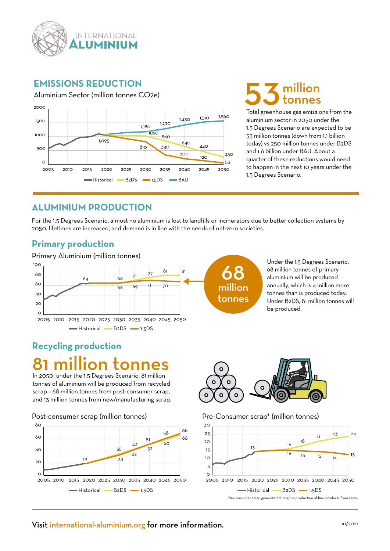

#### **EMISSIONS REDUCTION**



# 3 million

Total greenhouse gas emissions from the aluminium sector in 2050 under the 1.5 Degrees Scenario are expected to be 53 million tonnes (down from 1.1 billion today) vs 250 million tonnes under B2DS and 1.6 billion under BAU. About a quarter of these reductions would need to happen in the next 10 years under the 1.5 Degrees Scenario.

#### **ALUMINIUM PRODUCTION**

For the 1.5 Degrees Scenario, almost no aluminium is lost to landfills or incinerators due to better collection systems by 2050, lifetimes are increased, and demand is in line with the needs of net-zero societies.

#### **Primary production**



Under the 1.5 Degrees Scenario, 68 million tonnes of primary aluminium will be produced annually, which is 4 million more tonnes than is produced today. Under B2DS, 81 million tonnes will be produced.

## **Recycling production** 81 million tonnes

In 2050, under the 1.5 Degrees Scenario, 81 million tonnes of aluminium will be produced from recycled scrap – 68 million tonnes from post-consumer scrap, and 13 million tonnes from new/manufacturing scrap.

Post-consumer scrap (million tonnes)





Pre-Consumer scrap\* (million tonnes)